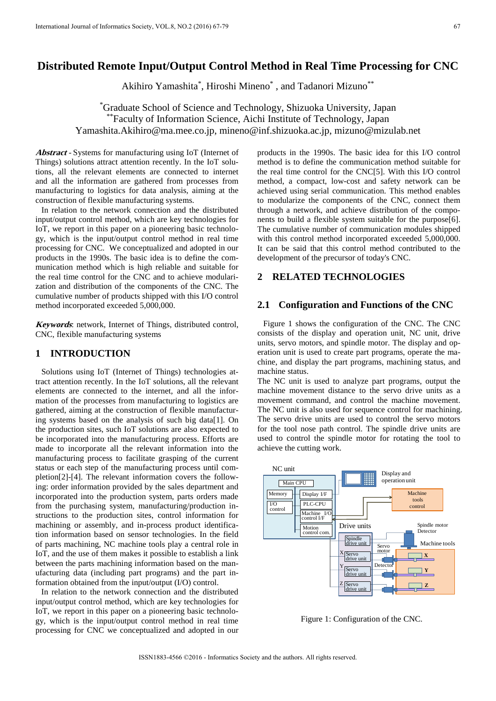# **Distributed Remote Input/Output Control Method in Real Time Processing for CNC**

Akihiro Yamashita\*, Hiroshi Mineno\*, and Tadanori Mizuno\*\*

\* Graduate School of Science and Technology, Shizuoka University, Japan \*\*Faculty of Information Science, Aichi Institute of Technology, Japan Yamashita.Akihiro@ma.mee.co.jp, mineno@inf.shizuoka.ac.jp, mizuno@mizulab.net

**Abstract** - Systems for manufacturing using IoT (Internet of Things) solutions attract attention recently. In the IoT solutions, all the relevant elements are connected to internet and all the information are gathered from processes from manufacturing to logistics for data analysis, aiming at the construction of flexible manufacturing systems.

In relation to the network connection and the distributed input/output control method, which are key technologies for IoT, we report in this paper on a pioneering basic technology, which is the input/output control method in real time processing for CNC. We conceptualized and adopted in our products in the 1990s. The basic idea is to define the communication method which is high reliable and suitable for the real time control for the CNC and to achieve modularization and distribution of the components of the CNC. The cumulative number of products shipped with this I/O control method incorporated exceeded 5,000,000.

**Keywords**: network, Internet of Things, distributed control, CNC, flexible manufacturing systems

### **1 INTRODUCTION**

Solutions using IoT (Internet of Things) technologies attract attention recently. In the IoT solutions, all the relevant elements are connected to the internet, and all the information of the processes from manufacturing to logistics are gathered, aiming at the construction of flexible manufacturing systems based on the analysis of such big data[1]. On the production sites, such IoT solutions are also expected to be incorporated into the manufacturing process. Efforts are made to incorporate all the relevant information into the manufacturing process to facilitate grasping of the current status or each step of the manufacturing process until completion[2]-[4]. The relevant information covers the following: order information provided by the sales department and incorporated into the production system, parts orders made from the purchasing system, manufacturing/production instructions to the production sites, control information for machining or assembly, and in-process product identification information based on sensor technologies. In the field of parts machining, NC machine tools play a central role in IoT, and the use of them makes it possible to establish a link between the parts machining information based on the manufacturing data (including part programs) and the part information obtained from the input/output (I/O) control. IDENTIFICATION CONTECTIVE CONTECTIVE CONTECTIVE CONTECTIVE CONTECTIVE CONTECTIVE CONTECTIVE CONTECTIVE CONTECTIVE CONTECTIVE CONTECTIVE CONTECTIVE CONTECTIVE CONTECTIVE CONTECTIVE CONTECTIVE CONTECTIVE CONTECTIVE CONTECTI

In relation to the network connection and the distributed input/output control method, which are key technologies for IoT, we report in this paper on a pioneering basic technology, which is the input/output control method in real time processing for CNC we conceptualized and adopted in our

products in the 1990s. The basic idea for this I/O control method is to define the communication method suitable for the real time control for the CNC[5]. With this I/O control method, a compact, low-cost and safety network can be achieved using serial communication. This method enables to modularize the components of the CNC, connect them through a network, and achieve distribution of the components to build a flexible system suitable for the purpose[6]. The cumulative number of communication modules shipped with this control method incorporated exceeded 5,000,000. It can be said that this control method contributed to the development of the precursor of today's CNC.

# **2 RELATED TECHNOLOGIES**

### **2.1 Configuration and Functions of the CNC**

Figure 1 shows the configuration of the CNC. The CNC consists of the display and operation unit, NC unit, drive units, servo motors, and spindle motor. The display and operation unit is used to create part programs, operate the machine, and display the part programs, machining status, and machine status.

The NC unit is used to analyze part programs, output the machine movement distance to the servo drive units as a movement command, and control the machine movement. The NC unit is also used for sequence control for machining. The servo drive units are used to control the servo motors for the tool nose path control. The spindle drive units are used to control the spindle motor for rotating the tool to achieve the cutting work.



Figure 1: Configuration of the CNC.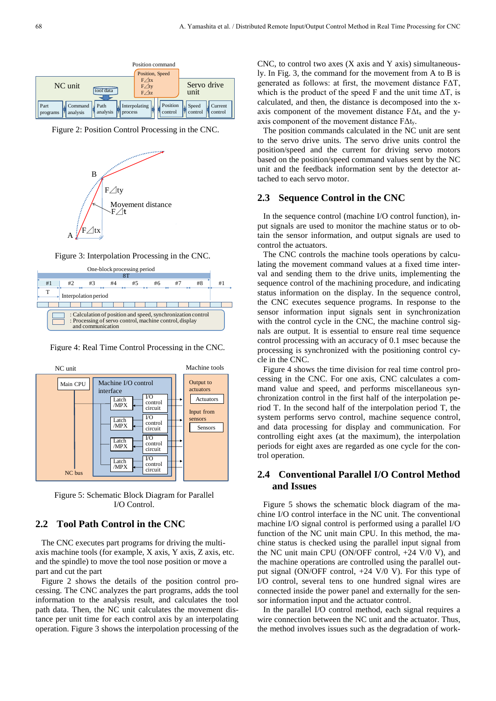

Figure 2: Position Control Processing in the CNC.



Figure 3: Interpolation Processing in the CNC.



Figure 4: Real Time Control Processing in the CNC.



Figure 5: Schematic Block Diagram for Parallel I/O Control.

# **2.2 Tool Path Control in the CNC**

The CNC executes part programs for driving the multiaxis machine tools (for example, X axis, Y axis, Z axis, etc. and the spindle) to move the tool nose position or move a part and cut the part

Figure 2 shows the details of the position control processing. The CNC analyzes the part programs, adds the tool information to the analysis result, and calculates the tool path data. Then, the NC unit calculates the movement distance per unit time for each control axis by an interpolating operation. Figure 3 shows the interpolation processing of the CNC, to control two axes  $(X \text{ axis and } Y \text{ axis})$  simultaneously. In Fig. 3, the command for the movement from A to B is generated as follows: at first, the movement distance FΔT, which is the product of the speed F and the unit time  $\Delta T$ , is calculated, and then, the distance is decomposed into the xaxis component of the movement distance  $F\Delta t_x$  and the yaxis component of the movement distance  $F\Delta t_{v}$ .

The position commands calculated in the NC unit are sent to the servo drive units. The servo drive units control the position/speed and the current for driving servo motors based on the position/speed command values sent by the NC unit and the feedback information sent by the detector attached to each servo motor.

#### **2.3 Sequence Control in the CNC**

In the sequence control (machine I/O control function), input signals are used to monitor the machine status or to obtain the sensor information, and output signals are used to control the actuators.

The CNC controls the machine tools operations by calculating the movement command values at a fixed time interval and sending them to the drive units, implementing the sequence control of the machining procedure, and indicating status information on the display. In the sequence control, the CNC executes sequence programs. In response to the sensor information input signals sent in synchronization with the control cycle in the CNC, the machine control signals are output. It is essential to ensure real time sequence control processing with an accuracy of 0.1 msec because the processing is synchronized with the positioning control cycle in the CNC.

Figure 4 shows the time division for real time control processing in the CNC. For one axis, CNC calculates a command value and speed, and performs miscellaneous synchronization control in the first half of the interpolation period T. In the second half of the interpolation period T, the system performs servo control, machine sequence control, and data processing for display and communication. For controlling eight axes (at the maximum), the interpolation periods for eight axes are regarded as one cycle for the control operation.

### **2.4 Conventional Parallel I/O Control Method and Issues**

Figure 5 shows the schematic block diagram of the machine I/O control interface in the NC unit. The conventional machine I/O signal control is performed using a parallel I/O function of the NC unit main CPU. In this method, the machine status is checked using the parallel input signal from the NC unit main CPU (ON/OFF control, +24 V/0 V), and the machine operations are controlled using the parallel output signal (ON/OFF control, +24 V/0 V). For this type of I/O control, several tens to one hundred signal wires are connected inside the power panel and externally for the sensor information input and the actuator control.

In the parallel I/O control method, each signal requires a wire connection between the NC unit and the actuator. Thus, the method involves issues such as the degradation of work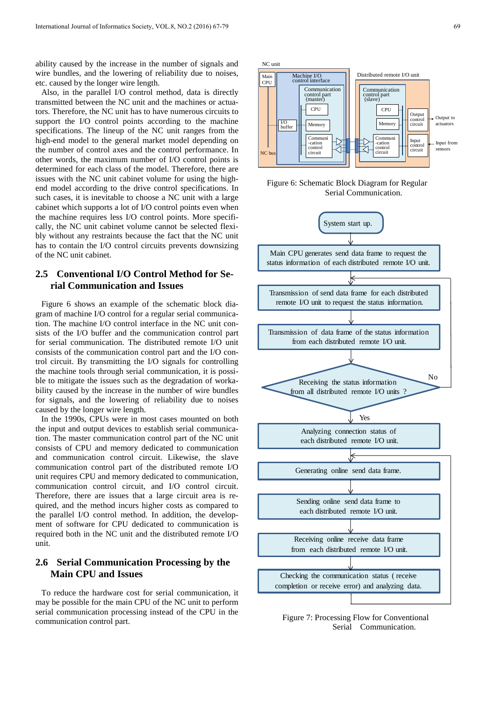ability caused by the increase in the number of signals and wire bundles, and the lowering of reliability due to noises, etc. caused by the longer wire length.

Also, in the parallel I/O control method, data is directly transmitted between the NC unit and the machines or actuators. Therefore, the NC unit has to have numerous circuits to support the I/O control points according to the machine specifications. The lineup of the NC unit ranges from the high-end model to the general market model depending on the number of control axes and the control performance. In other words, the maximum number of I/O control points is determined for each class of the model. Therefore, there are issues with the NC unit cabinet volume for using the highend model according to the drive control specifications. In such cases, it is inevitable to choose a NC unit with a large cabinet which supports a lot of I/O control points even when the machine requires less I/O control points. More specifically, the NC unit cabinet volume cannot be selected flexibly without any restraints because the fact that the NC unit has to contain the I/O control circuits prevents downsizing of the NC unit cabinet.

# **2.5 Conventional I/O Control Method for Serial Communication and Issues**

Figure 6 shows an example of the schematic block diagram of machine I/O control for a regular serial communication. The machine I/O control interface in the NC unit consists of the I/O buffer and the communication control part for serial communication. The distributed remote I/O unit consists of the communication control part and the I/O control circuit. By transmitting the I/O signals for controlling the machine tools through serial communication, it is possible to mitigate the issues such as the degradation of workability caused by the increase in the number of wire bundles for signals, and the lowering of reliability due to noises caused by the longer wire length.

In the 1990s, CPUs were in most cases mounted on both the input and output devices to establish serial communication. The master communication control part of the NC unit consists of CPU and memory dedicated to communication and communication control circuit. Likewise, the slave communication control part of the distributed remote I/O unit requires CPU and memory dedicated to communication, communication control circuit, and I/O control circuit. Therefore, there are issues that a large circuit area is required, and the method incurs higher costs as compared to the parallel I/O control method. In addition, the development of software for CPU dedicated to communication is required both in the NC unit and the distributed remote I/O unit.

# **2.6 Serial Communication Processing by the Main CPU and Issues**

To reduce the hardware cost for serial communication, it may be possible for the main CPU of the NC unit to perform serial communication processing instead of the CPU in the communication control part.



Figure 6: Schematic Block Diagram for Regular Serial Communication.



Figure 7: Processing Flow for Conventional Serial Communication.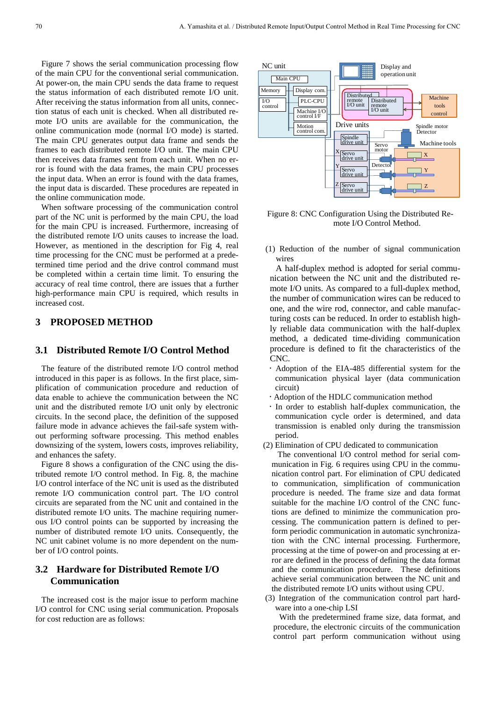Figure 7 shows the serial communication processing flow of the main CPU for the conventional serial communication. At power-on, the main CPU sends the data frame to request the status information of each distributed remote I/O unit. After receiving the status information from all units, connection status of each unit is checked. When all distributed remote I/O units are available for the communication, the online communication mode (normal I/O mode) is started. The main CPU generates output data frame and sends the frames to each distributed remote I/O unit. The main CPU then receives data frames sent from each unit. When no error is found with the data frames, the main CPU processes the input data. When an error is found with the data frames, the input data is discarded. These procedures are repeated in the online communication mode.

When software processing of the communication control part of the NC unit is performed by the main CPU, the load for the main CPU is increased. Furthermore, increasing of the distributed remote I/O units causes to increase the load. However, as mentioned in the description for Fig 4, real time processing for the CNC must be performed at a predetermined time period and the drive control command must be completed within a certain time limit. To ensuring the accuracy of real time control, there are issues that a further high-performance main CPU is required, which results in increased cost.

### **3 PROPOSED METHOD**

### **3.1 Distributed Remote I/O Control Method**

The feature of the distributed remote I/O control method introduced in this paper is as follows. In the first place, simplification of communication procedure and reduction of data enable to achieve the communication between the NC unit and the distributed remote I/O unit only by electronic circuits. In the second place, the definition of the supposed failure mode in advance achieves the fail-safe system without performing software processing. This method enables downsizing of the system, lowers costs, improves reliability, and enhances the safety.

Figure 8 shows a configuration of the CNC using the distributed remote I/O control method. In Fig. 8, the machine I/O control interface of the NC unit is used as the distributed remote I/O communication control part. The I/O control circuits are separated from the NC unit and contained in the distributed remote I/O units. The machine requiring numerous I/O control points can be supported by increasing the number of distributed remote I/O units. Consequently, the NC unit cabinet volume is no more dependent on the number of I/O control points.

### **3.2 Hardware for Distributed Remote I/O Communication**

The increased cost is the major issue to perform machine I/O control for CNC using serial communication. Proposals for cost reduction are as follows:



Figure 8: CNC Configuration Using the Distributed Remote I/O Control Method.

(1) Reduction of the number of signal communication wires

A half-duplex method is adopted for serial communication between the NC unit and the distributed remote I/O units. As compared to a full-duplex method, the number of communication wires can be reduced to one, and the wire rod, connector, and cable manufacturing costs can be reduced. In order to establish highly reliable data communication with the half-duplex method, a dedicated time-dividing communication procedure is defined to fit the characteristics of the CNC.

- Adoption of the EIA-485 differential system for the communication physical layer (data communication circuit)
- Adoption of the HDLC communication method
- In order to establish half-duplex communication, the communication cycle order is determined, and data transmission is enabled only during the transmission period.
- (2) Elimination of CPU dedicated to communication

The conventional I/O control method for serial communication in Fig. 6 requires using CPU in the communication control part. For elimination of CPU dedicated to communication, simplification of communication procedure is needed. The frame size and data format suitable for the machine I/O control of the CNC functions are defined to minimize the communication processing. The communication pattern is defined to perform periodic communication in automatic synchronization with the CNC internal processing. Furthermore, processing at the time of power-on and processing at error are defined in the process of defining the data format and the communication procedure. These definitions achieve serial communication between the NC unit and the distributed remote I/O units without using CPU.

(3) Integration of the communication control part hardware into a one-chip LSI

With the predetermined frame size, data format, and procedure, the electronic circuits of the communication control part perform communication without using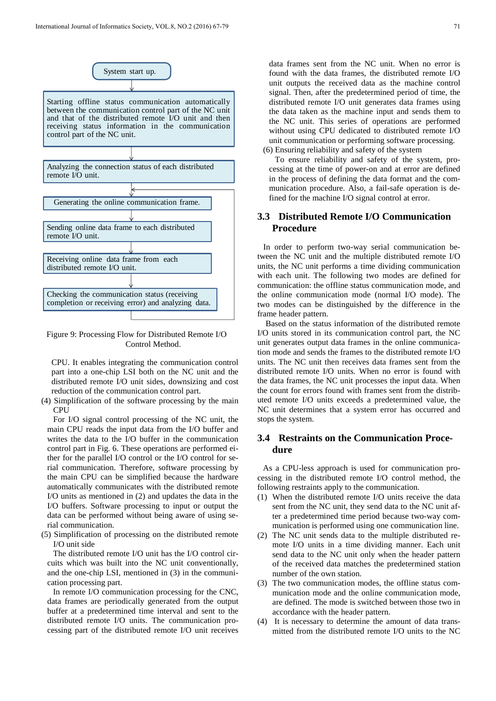

Figure 9: Processing Flow for Distributed Remote I/O Control Method.

CPU. It enables integrating the communication control part into a one-chip LSI both on the NC unit and the distributed remote I/O unit sides, downsizing and cost reduction of the communication control part.

(4) Simplification of the software processing by the main **CPU** 

For I/O signal control processing of the NC unit, the main CPU reads the input data from the I/O buffer and writes the data to the I/O buffer in the communication control part in Fig. 6. These operations are performed either for the parallel I/O control or the I/O control for serial communication. Therefore, software processing by the main CPU can be simplified because the hardware automatically communicates with the distributed remote I/O units as mentioned in (2) and updates the data in the I/O buffers. Software processing to input or output the data can be performed without being aware of using serial communication.

(5) Simplification of processing on the distributed remote I/O unit side

The distributed remote I/O unit has the I/O control circuits which was built into the NC unit conventionally, and the one-chip LSI, mentioned in (3) in the communication processing part.

In remote I/O communication processing for the CNC, data frames are periodically generated from the output buffer at a predetermined time interval and sent to the distributed remote I/O units. The communication processing part of the distributed remote I/O unit receives

data frames sent from the NC unit. When no error is found with the data frames, the distributed remote I/O unit outputs the received data as the machine control signal. Then, after the predetermined period of time, the distributed remote I/O unit generates data frames using the data taken as the machine input and sends them to the NC unit. This series of operations are performed without using CPU dedicated to distributed remote I/O unit communication or performing software processing. (6) Ensuring reliability and safety of the system

To ensure reliability and safety of the system, processing at the time of power-on and at error are defined in the process of defining the data format and the communication procedure. Also, a fail-safe operation is defined for the machine I/O signal control at error.

### **3.3 Distributed Remote I/O Communication Procedure**

In order to perform two-way serial communication between the NC unit and the multiple distributed remote I/O units, the NC unit performs a time dividing communication with each unit. The following two modes are defined for communication: the offline status communication mode, and the online communication mode (normal I/O mode). The two modes can be distinguished by the difference in the frame header pattern.

Based on the status information of the distributed remote I/O units stored in its communication control part, the NC unit generates output data frames in the online communication mode and sends the frames to the distributed remote I/O units. The NC unit then receives data frames sent from the distributed remote I/O units. When no error is found with the data frames, the NC unit processes the input data. When the count for errors found with frames sent from the distributed remote I/O units exceeds a predetermined value, the NC unit determines that a system error has occurred and stops the system.

# **3.4 Restraints on the Communication Procedure**

As a CPU-less approach is used for communication processing in the distributed remote I/O control method, the following restraints apply to the communication.

- (1) When the distributed remote I/O units receive the data sent from the NC unit, they send data to the NC unit after a predetermined time period because two-way communication is performed using one communication line.
- (2) The NC unit sends data to the multiple distributed remote I/O units in a time dividing manner. Each unit send data to the NC unit only when the header pattern of the received data matches the predetermined station number of the own station.
- (3) The two communication modes, the offline status communication mode and the online communication mode, are defined. The mode is switched between those two in accordance with the header pattern.
- (4) It is necessary to determine the amount of data transmitted from the distributed remote I/O units to the NC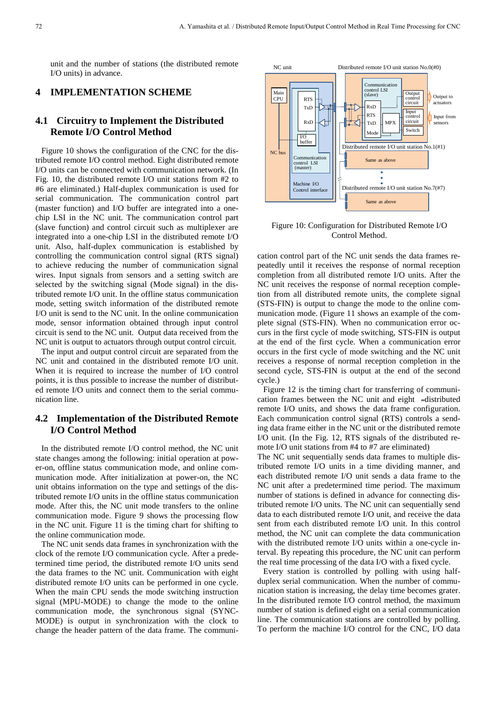unit and the number of stations (the distributed remote I/O units) in advance.

#### **4 IMPLEMENTATION SCHEME**

# **4.1 Circuitry to Implement the Distributed Remote I/O Control Method**

Figure 10 shows the configuration of the CNC for the distributed remote I/O control method. Eight distributed remote I/O units can be connected with communication network. (In Fig. 10, the distributed remote I/O unit stations from #2 to #6 are eliminated.) Half-duplex communication is used for serial communication. The communication control part (master function) and I/O buffer are integrated into a onechip LSI in the NC unit. The communication control part (slave function) and control circuit such as multiplexer are integrated into a one-chip LSI in the distributed remote I/O unit. Also, half-duplex communication is established by controlling the communication control signal (RTS signal) to achieve reducing the number of communication signal wires. Input signals from sensors and a setting switch are selected by the switching signal (Mode signal) in the distributed remote I/O unit. In the offline status communication mode, setting switch information of the distributed remote I/O unit is send to the NC unit. In the online communication mode, sensor information obtained through input control circuit is send to the NC unit. Output data received from the NC unit is output to actuators through output control circuit.

The input and output control circuit are separated from the NC unit and contained in the distributed remote I/O unit. When it is required to increase the number of I/O control points, it is thus possible to increase the number of distributed remote I/O units and connect them to the serial communication line.

# **4.2 Implementation of the Distributed Remote I/O Control Method**

In the distributed remote I/O control method, the NC unit state changes among the following: initial operation at power-on, offline status communication mode, and online communication mode. After initialization at power-on, the NC unit obtains information on the type and settings of the distributed remote I/O units in the offline status communication mode. After this, the NC unit mode transfers to the online communication mode. Figure 9 shows the processing flow in the NC unit. Figure 11 is the timing chart for shifting to the online communication mode.

The NC unit sends data frames in synchronization with the clock of the remote I/O communication cycle. After a predetermined time period, the distributed remote I/O units send the data frames to the NC unit. Communication with eight distributed remote I/O units can be performed in one cycle. When the main CPU sends the mode switching instruction signal (MPU-MODE) to change the mode to the online communication mode, the synchronous signal (SYNC-MODE) is output in synchronization with the clock to change the header pattern of the data frame. The communi-



Figure 10: Configuration for Distributed Remote I/O Control Method.

cation control part of the NC unit sends the data frames repeatedly until it receives the response of normal reception completion from all distributed remote I/O units. After the NC unit receives the response of normal reception completion from all distributed remote units, the complete signal (STS-FIN) is output to change the mode to the online communication mode. (Figure 11 shows an example of the complete signal (STS-FIN). When no communication error occurs in the first cycle of mode switching, STS-FIN is output at the end of the first cycle. When a communication error occurs in the first cycle of mode switching and the NC unit receives a response of normal reception completion in the second cycle, STS-FIN is output at the end of the second cycle.)

Figure 12 is the timing chart for transferring of communication frames between the NC unit and eight -distributed remote I/O units, and shows the data frame configuration. Each communication control signal (RTS) controls a sending data frame either in the NC unit or the distributed remote I/O unit. (In the Fig. 12, RTS signals of the distributed remote I/O unit stations from #4 to #7 are eliminated)

The NC unit sequentially sends data frames to multiple distributed remote I/O units in a time dividing manner, and each distributed remote I/O unit sends a data frame to the NC unit after a predetermined time period. The maximum number of stations is defined in advance for connecting distributed remote I/O units. The NC unit can sequentially send data to each distributed remote I/O unit, and receive the data sent from each distributed remote I/O unit. In this control method, the NC unit can complete the data communication with the distributed remote I/O units within a one-cycle interval. By repeating this procedure, the NC unit can perform the real time processing of the data I/O with a fixed cycle.

Every station is controlled by polling with using halfduplex serial communication. When the number of communication station is increasing, the delay time becomes grater. In the distributed remote I/O control method, the maximum number of station is defined eight on a serial communication line. The communication stations are controlled by polling. To perform the machine I/O control for the CNC, I/O data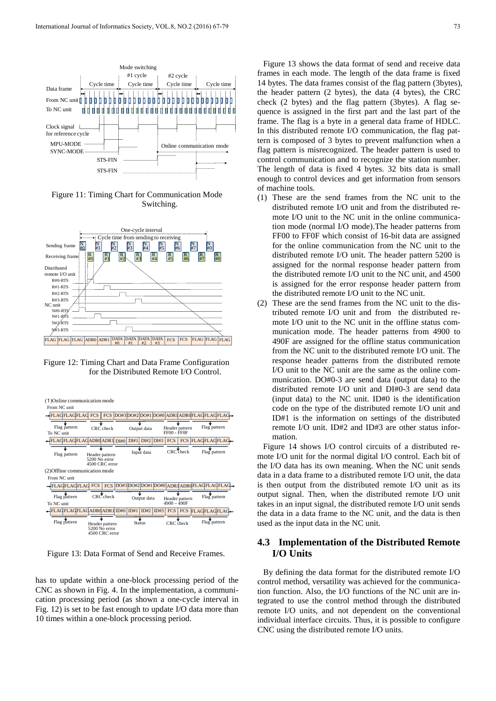

Figure 11: Timing Chart for Communication Mode Switching.



Figure 12: Timing Chart and Data Frame Configuration for the Distributed Remote I/O Control.



Figure 13: Data Format of Send and Receive Frames.

has to update within a one-block processing period of the CNC as shown in Fig. 4. In the implementation, a communication processing period (as shown a one-cycle interval in Fig. 12) is set to be fast enough to update I/O data more than 10 times within a one-block processing period.

Figure 13 shows the data format of send and receive data frames in each mode. The length of the data frame is fixed 14 bytes. The data frames consist of the flag pattern (3bytes), the header pattern (2 bytes), the data (4 bytes), the CRC check (2 bytes) and the flag pattern (3bytes). A flag sequence is assigned in the first part and the last part of the frame. The flag is a byte in a general data frame of HDLC. In this distributed remote I/O communication, the flag pattern is composed of 3 bytes to prevent malfunction when a flag pattern is misrecognized. The header pattern is used to control communication and to recognize the station number. The length of data is fixed 4 bytes. 32 bits data is small enough to control devices and get information from sensors of machine tools.

- (1) These are the send frames from the NC unit to the distributed remote I/O unit and from the distributed remote I/O unit to the NC unit in the online communication mode (normal I/O mode).The header patterns from FF00 to FF0F which consist of 16-bit data are assigned for the online communication from the NC unit to the distributed remote I/O unit. The header pattern 5200 is assigned for the normal response header pattern from the distributed remote I/O unit to the NC unit, and 4500 is assigned for the error response header pattern from the distributed remote I/O unit to the NC unit.
- (2) These are the send frames from the NC unit to the distributed remote I/O unit and from the distributed remote I/O unit to the NC unit in the offline status communication mode. The header patterns from 4900 to 490F are assigned for the offline status communication from the NC unit to the distributed remote I/O unit. The response header patterns from the distributed remote I/O unit to the NC unit are the same as the online communication. DO#0-3 are send data (output data) to the distributed remote I/O unit and DI#0-3 are send data (input data) to the NC unit. ID#0 is the identification code on the type of the distributed remote I/O unit and ID#1 is the information on settings of the distributed remote I/O unit. ID#2 and ID#3 are other status information.

Figure 14 shows I/O control circuits of a distributed remote I/O unit for the normal digital I/O control. Each bit of the I/O data has its own meaning. When the NC unit sends data in a data frame to a distributed remote I/O unit, the data is then output from the distributed remote I/O unit as its output signal. Then, when the distributed remote I/O unit takes in an input signal, the distributed remote I/O unit sends the data in a data frame to the NC unit, and the data is then used as the input data in the NC unit.

## **4.3 Implementation of the Distributed Remote I/O Units**

By defining the data format for the distributed remote I/O control method, versatility was achieved for the communication function. Also, the I/O functions of the NC unit are integrated to use the control method through the distributed remote I/O units, and not dependent on the conventional individual interface circuits. Thus, it is possible to configure CNC using the distributed remote I/O units.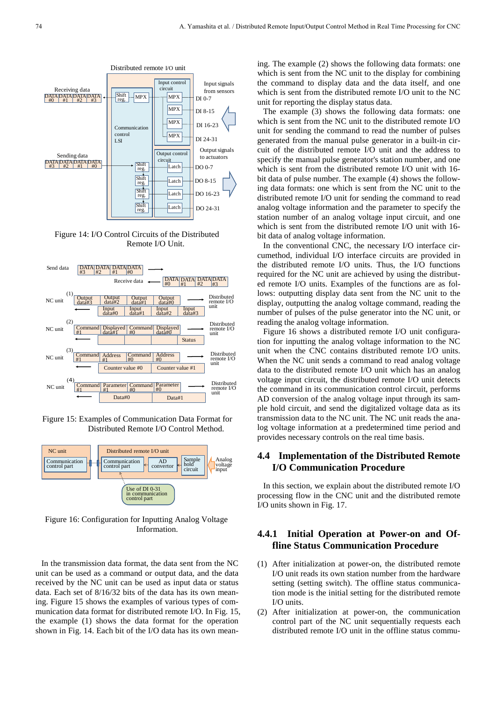

Figure 14: I/O Control Circuits of the Distributed Remote I/O Unit.



Figure 15: Examples of Communication Data Format for Distributed Remote I/O Control Method.



Figure 16: Configuration for Inputting Analog Voltage Information.

In the transmission data format, the data sent from the NC unit can be used as a command or output data, and the data received by the NC unit can be used as input data or status data. Each set of 8/16/32 bits of the data has its own meaning. Figure 15 shows the examples of various types of communication data format for distributed remote I/O. In Fig. 15, the example (1) shows the data format for the operation shown in Fig. 14. Each bit of the I/O data has its own meaning. The example (2) shows the following data formats: one which is sent from the NC unit to the display for combining the command to display data and the data itself, and one which is sent from the distributed remote I/O unit to the NC unit for reporting the display status data.

The example (3) shows the following data formats: one which is sent from the NC unit to the distributed remote I/O unit for sending the command to read the number of pulses generated from the manual pulse generator in a built-in circuit of the distributed remote I/O unit and the address to specify the manual pulse generator's station number, and one which is sent from the distributed remote I/O unit with 16 bit data of pulse number. The example (4) shows the following data formats: one which is sent from the NC unit to the distributed remote I/O unit for sending the command to read analog voltage information and the parameter to specify the station number of an analog voltage input circuit, and one which is sent from the distributed remote I/O unit with 16 bit data of analog voltage information.

In the conventional CNC, the necessary I/O interface circumethod, individual I/O interface circuits are provided in the distributed remote I/O units. Thus, the I/O functions required for the NC unit are achieved by using the distributed remote I/O units. Examples of the functions are as follows: outputting display data sent from the NC unit to the display, outputting the analog voltage command, reading the number of pulses of the pulse generator into the NC unit, or reading the analog voltage information.

Figure 16 shows a distributed remote I/O unit configuration for inputting the analog voltage information to the NC unit when the CNC contains distributed remote I/O units. When the NC unit sends a command to read analog voltage data to the distributed remote I/O unit which has an analog voltage input circuit, the distributed remote I/O unit detects the command in its communication control circuit, performs AD conversion of the analog voltage input through its sample hold circuit, and send the digitalized voltage data as its transmission data to the NC unit. The NC unit reads the analog voltage information at a predetermined time period and provides necessary controls on the real time basis.

### **4.4 Implementation of the Distributed Remote I/O Communication Procedure**

In this section, we explain about the distributed remote I/O processing flow in the CNC unit and the distributed remote I/O units shown in Fig. 17.

# **4.4.1 Initial Operation at Power-on and Offline Status Communication Procedure**

- (1) After initialization at power-on, the distributed remote I/O unit reads its own station number from the hardware setting (setting switch). The offline status communication mode is the initial setting for the distributed remote I/O units.
- (2) After initialization at power-on, the communication control part of the NC unit sequentially requests each distributed remote I/O unit in the offline status commu-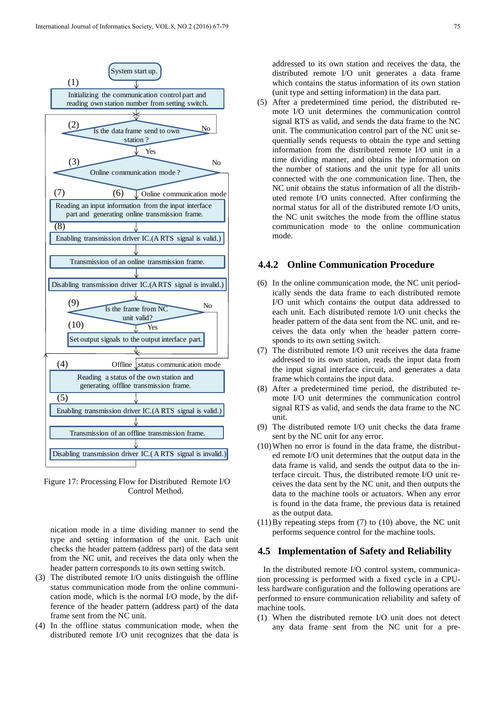

Figure 17: Processing Flow for Distributed Remote I/O Control Method.

nication mode in a time dividing manner to send the type and setting information of the unit. Each unit checks the header pattern (address part) of the data sent from the NC unit, and receives the data only when the header pattern corresponds to its own setting switch.

- (3) The distributed remote I/O units distinguish the offline status communication mode from the online communication mode, which is the normal I/O mode, by the difference of the header pattern (address part) of the data frame sent from the NC unit.
- (4) In the offline status communication mode, when the distributed remote I/O unit recognizes that the data is

addressed to its own station and receives the data, the distributed remote I/O unit generates a data frame which contains the status information of its own station (unit type and setting information) in the data part.

(5) After a predetermined time period, the distributed remote I/O unit determines the communication control signal RTS as valid, and sends the data frame to the NC unit. The communication control part of the NC unit sequentially sends requests to obtain the type and setting information from the distributed remote I/O unit in a time dividing manner, and obtains the information on the number of stations and the unit type for all units connected with the one communication line. Then, the NC unit obtains the status information of all the distributed remote I/O units connected. After confirming the normal status for all of the distributed remote I/O units, the NC unit switches the mode from the offline status communication mode to the online communication mode.

### **4.4.2 Online Communication Procedure**

- (6) In the online communication mode, the NC unit periodically sends the data frame to each distributed remote I/O unit which contains the output data addressed to each unit. Each distributed remote I/O unit checks the header pattern of the data sent from the NC unit, and receives the data only when the header pattern corresponds to its own setting switch.
- (7) The distributed remote I/O unit receives the data frame addressed to its own station, reads the input data from the input signal interface circuit, and generates a data frame which contains the input data.
- (8) After a predetermined time period, the distributed remote I/O unit determines the communication control signal RTS as valid, and sends the data frame to the NC unit.
- (9) The distributed remote I/O unit checks the data frame sent by the NC unit for any error.
- (10)When no error is found in the data frame, the distributed remote I/O unit determines that the output data in the data frame is valid, and sends the output data to the interface circuit. Thus, the distributed remote I/O unit receives the data sent by the NC unit, and then outputs the data to the machine tools or actuators. When any error is found in the data frame, the previous data is retained as the output data.
- (11)By repeating steps from (7) to (10) above, the NC unit performs sequence control for the machine tools.

#### **4.5 Implementation of Safety and Reliability**

In the distributed remote I/O control system, communication processing is performed with a fixed cycle in a CPUless hardware configuration and the following operations are performed to ensure communication reliability and safety of machine tools.

(1) When the distributed remote I/O unit does not detect any data frame sent from the NC unit for a pre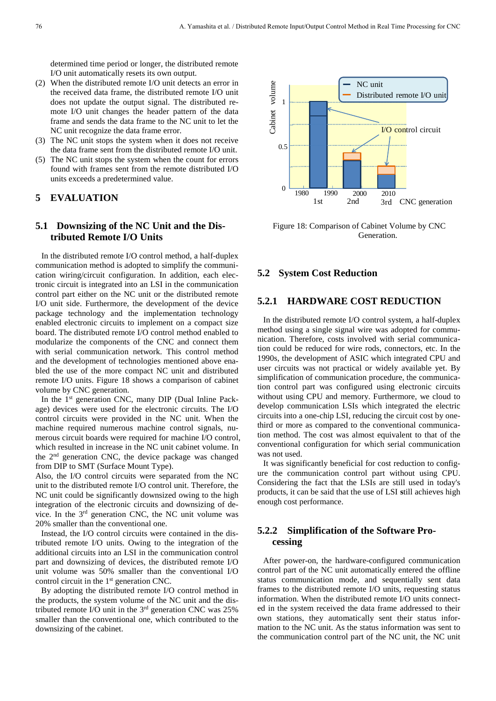determined time period or longer, the distributed remote I/O unit automatically resets its own output.

- (2) When the distributed remote I/O unit detects an error in the received data frame, the distributed remote I/O unit does not update the output signal. The distributed remote I/O unit changes the header pattern of the data frame and sends the data frame to the NC unit to let the NC unit recognize the data frame error.
- (3) The NC unit stops the system when it does not receive the data frame sent from the distributed remote I/O unit.
- (5) The NC unit stops the system when the count for errors found with frames sent from the remote distributed I/O units exceeds a predetermined value.

#### **5 EVALUATION**

# **5.1 Downsizing of the NC Unit and the Distributed Remote I/O Units**

In the distributed remote I/O control method, a half-duplex communication method is adopted to simplify the communication wiring/circuit configuration. In addition, each electronic circuit is integrated into an LSI in the communication control part either on the NC unit or the distributed remote I/O unit side. Furthermore, the development of the device package technology and the implementation technology enabled electronic circuits to implement on a compact size board. The distributed remote I/O control method enabled to modularize the components of the CNC and connect them with serial communication network. This control method and the development of technologies mentioned above enabled the use of the more compact NC unit and distributed remote I/O units. Figure 18 shows a comparison of cabinet volume by CNC generation.

In the 1<sup>st</sup> generation CNC, many DIP (Dual Inline Package) devices were used for the electronic circuits. The I/O control circuits were provided in the NC unit. When the machine required numerous machine control signals, numerous circuit boards were required for machine I/O control, which resulted in increase in the NC unit cabinet volume. In the 2nd generation CNC, the device package was changed from DIP to SMT (Surface Mount Type).

Also, the I/O control circuits were separated from the NC unit to the distributed remote I/O control unit. Therefore, the NC unit could be significantly downsized owing to the high integration of the electronic circuits and downsizing of device. In the 3rd generation CNC, the NC unit volume was 20% smaller than the conventional one.

Instead, the I/O control circuits were contained in the distributed remote I/O units. Owing to the integration of the additional circuits into an LSI in the communication control part and downsizing of devices, the distributed remote I/O unit volume was 50% smaller than the conventional I/O control circuit in the 1<sup>st</sup> generation CNC.

By adopting the distributed remote I/O control method in the products, the system volume of the NC unit and the distributed remote I/O unit in the  $3<sup>rd</sup>$  generation CNC was 25% smaller than the conventional one, which contributed to the downsizing of the cabinet.



Figure 18: Comparison of Cabinet Volume by CNC Generation.

### **5.2 System Cost Reduction**

### **5.2.1 HARDWARE COST REDUCTION**

In the distributed remote I/O control system, a half-duplex method using a single signal wire was adopted for communication. Therefore, costs involved with serial communication could be reduced for wire rods, connectors, etc. In the 1990s, the development of ASIC which integrated CPU and user circuits was not practical or widely available yet. By simplification of communication procedure, the communication control part was configured using electronic circuits without using CPU and memory. Furthermore, we cloud to develop communication LSIs which integrated the electric circuits into a one-chip LSI, reducing the circuit cost by onethird or more as compared to the conventional communication method. The cost was almost equivalent to that of the conventional configuration for which serial communication was not used. **Example 12 Communication**<br> **Example 18:** Comparison of Cabinet Volume by CNC<br> **Example 18:** Comparison of Cabinet Volume by CNC<br> **Example 18:** Comparison of Cabinet Volume by CNC<br> **Example 18:** Comparison of Cabinet Vo

It was significantly beneficial for cost reduction to configure the communication control part without using CPU. Considering the fact that the LSIs are still used in today's products, it can be said that the use of LSI **s**till achieves high enough cost performance.

# **5.2.2 Simplification of the Software Processing**

After power-on, the hardware-configured communication control part of the NC unit automatically entered the offline status communication mode, and sequentially sent data frames to the distributed remote I/O units, requesting status information. When the distributed remote I/O units connected in the system received the data frame addressed to their own stations, they automatically sent their status information to the NC unit. As the status information was sent to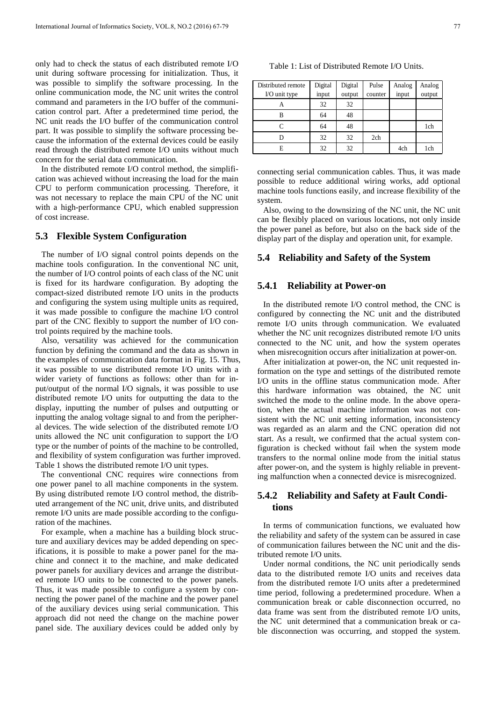only had to check the status of each distributed remote I/O unit during software processing for initialization. Thus, it was possible to simplify the software processing. In the online communication mode, the NC unit writes the control command and parameters in the I/O buffer of the communication control part. After a predetermined time period, the NC unit reads the I/O buffer of the communication control part. It was possible to simplify the software processing because the information of the external devices could be easily read through the distributed remote I/O units without much concern for the serial data communication.

In the distributed remote I/O control method, the simplification was achieved without increasing the load for the main CPU to perform communication processing. Therefore, it was not necessary to replace the main CPU of the NC unit with a high-performance CPU, which enabled suppression of cost increase.

#### **5.3 Flexible System Configuration**

The number of I/O signal control points depends on the machine tools configuration. In the conventional NC unit, the number of I/O control points of each class of the NC unit is fixed for its hardware configuration. By adopting the compact-sized distributed remote I/O units in the products and configuring the system using multiple units as required, it was made possible to configure the machine I/O control part of the CNC flexibly to support the number of I/O control points required by the machine tools.

Also, versatility was achieved for the communication function by defining the command and the data as shown in the examples of communication data format in Fig. 15. Thus, it was possible to use distributed remote I/O units with a wider variety of functions as follows: other than for input/output of the normal I/O signals, it was possible to use distributed remote I/O units for outputting the data to the display, inputting the number of pulses and outputting or inputting the analog voltage signal to and from the peripheral devices. The wide selection of the distributed remote I/O units allowed the NC unit configuration to support the I/O type or the number of points of the machine to be controlled, and flexibility of system configuration was further improved. Table 1 shows the distributed remote I/O unit types.

The conventional CNC requires wire connections from one power panel to all machine components in the system. By using distributed remote I/O control method, the distributed arrangement of the NC unit, drive units, and distributed remote I/O units are made possible according to the configuration of the machines.

For example, when a machine has a building block structure and auxiliary devices may be added depending on specifications, it is possible to make a power panel for the machine and connect it to the machine, and make dedicated power panels for auxiliary devices and arrange the distributed remote I/O units to be connected to the power panels. Thus, it was made possible to configure a system by connecting the power panel of the machine and the power panel of the auxiliary devices using serial communication. This approach did not need the change on the machine power panel side. The auxiliary devices could be added only by

Table 1: List of Distributed Remote I/O Units.

| Distributed remote | Digital | Digital | Pulse   | Analog | Analog |
|--------------------|---------|---------|---------|--------|--------|
| I/O unit type      | input   | output  | counter | input  | output |
| А                  | 32      | 32      |         |        |        |
| B                  | 64      | 48      |         |        |        |
| C                  | 64      | 48      |         |        | 1ch    |
|                    | 32      | 32      | 2ch     |        |        |
| E                  | 32      | 32      |         | 4ch    | 1ch    |

connecting serial communication cables. Thus, it was made possible to reduce additional wiring works, add optional machine tools functions easily, and increase flexibility of the system.

Also, owing to the downsizing of the NC unit, the NC unit can be flexibly placed on various locations, not only inside the power panel as before, but also on the back side of the display part of the display and operation unit, for example.

#### **5.4 Reliability and Safety of the System**

#### **5.4.1 Reliability at Power-on**

In the distributed remote I/O control method, the CNC is configured by connecting the NC unit and the distributed remote I/O units through communication. We evaluated whether the NC unit recognizes distributed remote I/O units connected to the NC unit, and how the system operates when misrecognition occurs after initialization at power-on.

After initialization at power-on, the NC unit requested information on the type and settings of the distributed remote I/O units in the offline status communication mode. After this hardware information was obtained, the NC unit switched the mode to the online mode. In the above operation, when the actual machine information was not consistent with the NC unit setting information, inconsistency was regarded as an alarm and the CNC operation did not start. As a result, we confirmed that the actual system configuration is checked without fail when the system mode transfers to the normal online mode from the initial status after power-on, and the system is highly reliable in preventing malfunction when a connected device is misrecognized.

### **5.4.2 Reliability and Safety at Fault Conditions**

In terms of communication functions, we evaluated how the reliability and safety of the system can be assured in case of communication failures between the NC unit and the distributed remote I/O units.

Under normal conditions, the NC unit periodically sends data to the distributed remote I/O units and receives data from the distributed remote I/O units after a predetermined time period, following a predetermined procedure. When a communication break or cable disconnection occurred, no data frame was sent from the distributed remote I/O units, the NC unit determined that a communication break or cable disconnection was occurring, and stopped the system.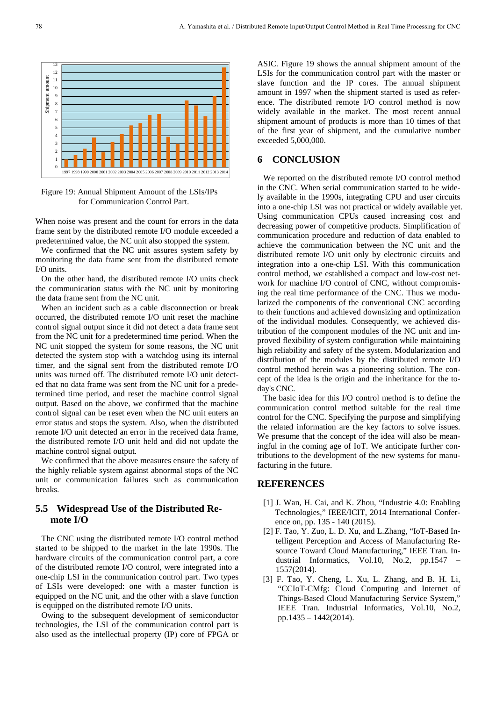

Figure 19: Annual Shipment Amount of the LSIs/IPs for Communication Control Part.

When noise was present and the count for errors in the data frame sent by the distributed remote I/O module exceeded a predetermined value, the NC unit also stopped the system.

We confirmed that the NC unit assures system safety by monitoring the data frame sent from the distributed remote I/O units.

On the other hand, the distributed remote I/O units check the communication status with the NC unit by monitoring the data frame sent from the NC unit.

When an incident such as a cable disconnection or break occurred, the distributed remote I/O unit reset the machine control signal output since it did not detect a data frame sent from the NC unit for a predetermined time period. When the NC unit stopped the system for some reasons, the NC unit detected the system stop with a watchdog using its internal timer, and the signal sent from the distributed remote I/O units was turned off. The distributed remote I/O unit detected that no data frame was sent from the NC unit for a predetermined time period, and reset the machine control signal output. Based on the above, we confirmed that the machine control signal can be reset even when the NC unit enters an error status and stops the system. Also, when the distributed remote I/O unit detected an error in the received data frame, the distributed remote I/O unit held and did not update the machine control signal output.

We confirmed that the above measures ensure the safety of the highly reliable system against abnormal stops of the NC unit or communication failures such as communication breaks.

### **5.5 Widespread Use of the Distributed Remote I/O**

The CNC using the distributed remote I/O control method started to be shipped to the market in the late 1990s. The hardware circuits of the communication control part, a core of the distributed remote I/O control, were integrated into a one-chip LSI in the communication control part. Two types of LSIs were developed: one with a master function is equipped on the NC unit, and the other with a slave function is equipped on the distributed remote I/O units.

Owing to the subsequent development of semiconductor technologies, the LSI of the communication control part is also used as the intellectual property (IP) core of FPGA or

ASIC. Figure 19 shows the annual shipment amount of the LSIs for the communication control part with the master or slave function and the IP cores. The annual shipment amount in 1997 when the shipment started is used as reference. The distributed remote I/O control method is now widely available in the market. The most recent annual shipment amount of products is more than 10 times of that of the first year of shipment, and the cumulative number exceeded 5,000,000.

# **6 CONCLUSION**

We reported on the distributed remote I/O control method in the CNC. When serial communication started to be widely available in the 1990s, integrating CPU and user circuits into a one-chip LSI was not practical or widely available yet. Using communication CPUs caused increasing cost and decreasing power of competitive products. Simplification of communication procedure and reduction of data enabled to achieve the communication between the NC unit and the distributed remote I/O unit only by electronic circuits and integration into a one-chip LSI. With this communication control method, we established a compact and low-cost network for machine I/O control of CNC, without compromising the real time performance of the CNC. Thus we modularized the components of the conventional CNC according to their functions and achieved downsizing and optimization of the individual modules. Consequently, we achieved distribution of the component modules of the NC unit and improved flexibility of system configuration while maintaining high reliability and safety of the system. Modularization and distribution of the modules by the distributed remote I/O control method herein was a pioneering solution. The concept of the idea is the origin and the inheritance for the today's CNC.

The basic idea for this I/O control method is to define the communication control method suitable for the real time control for the CNC. Specifying the purpose and simplifying the related information are the key factors to solve issues. We presume that the concept of the idea will also be meaningful in the coming age of IoT. We anticipate further contributions to the development of the new systems for manufacturing in the future.

#### **REFERENCES**

- [1] J. Wan, H. Cai, and K. Zhou, "Industrie 4.0: Enabling Technologies," IEEE/ICIT, 2014 International Conference on, pp. 135 - 140 (2015).
- [2] F. Tao, Y. Zuo, L. D. Xu, and L.Zhang, "IoT-Based Intelligent Perception and Access of Manufacturing Resource Toward Cloud Manufacturing," IEEE Tran. Industrial Informatics, Vol.10, No.2, pp.1547 – 1557(2014).
- [3] F. Tao, Y. Cheng, L. Xu, L. Zhang, and B. H. Li, "CCIoT-CMfg: Cloud Computing and Internet of Things-Based Cloud Manufacturing Service System," IEEE Tran. Industrial Informatics, Vol.10, No.2, pp.1435 – 1442(2014).